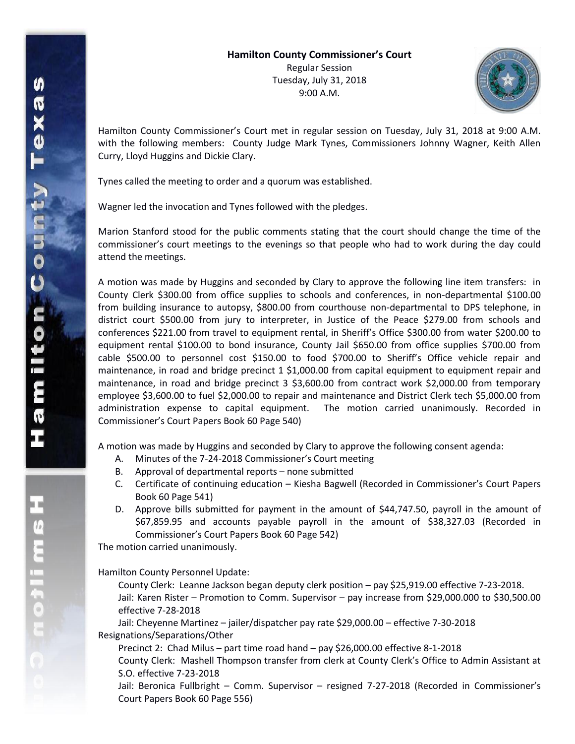

Hamilton County Commissioner's Court met in regular session on Tuesday, July 31, 2018 at 9:00 A.M. with the following members: County Judge Mark Tynes, Commissioners Johnny Wagner, Keith Allen Curry, Lloyd Huggins and Dickie Clary.

Tynes called the meeting to order and a quorum was established.

Wagner led the invocation and Tynes followed with the pledges.

Marion Stanford stood for the public comments stating that the court should change the time of the commissioner's court meetings to the evenings so that people who had to work during the day could attend the meetings.

A motion was made by Huggins and seconded by Clary to approve the following line item transfers: in County Clerk \$300.00 from office supplies to schools and conferences, in non-departmental \$100.00 from building insurance to autopsy, \$800.00 from courthouse non-departmental to DPS telephone, in district court \$500.00 from jury to interpreter, in Justice of the Peace \$279.00 from schools and conferences \$221.00 from travel to equipment rental, in Sheriff's Office \$300.00 from water \$200.00 to equipment rental \$100.00 to bond insurance, County Jail \$650.00 from office supplies \$700.00 from cable \$500.00 to personnel cost \$150.00 to food \$700.00 to Sheriff's Office vehicle repair and maintenance, in road and bridge precinct 1 \$1,000.00 from capital equipment to equipment repair and maintenance, in road and bridge precinct 3 \$3,600.00 from contract work \$2,000.00 from temporary employee \$3,600.00 to fuel \$2,000.00 to repair and maintenance and District Clerk tech \$5,000.00 from administration expense to capital equipment. The motion carried unanimously. Recorded in Commissioner's Court Papers Book 60 Page 540)

A motion was made by Huggins and seconded by Clary to approve the following consent agenda:

- A. Minutes of the 7-24-2018 Commissioner's Court meeting
- B. Approval of departmental reports none submitted
- C. Certificate of continuing education Kiesha Bagwell (Recorded in Commissioner's Court Papers Book 60 Page 541)
- D. Approve bills submitted for payment in the amount of \$44,747.50, payroll in the amount of \$67,859.95 and accounts payable payroll in the amount of \$38,327.03 (Recorded in Commissioner's Court Papers Book 60 Page 542)

The motion carried unanimously.

Hamilton County Personnel Update:

County Clerk: Leanne Jackson began deputy clerk position – pay \$25,919.00 effective 7-23-2018. Jail: Karen Rister – Promotion to Comm. Supervisor – pay increase from \$29,000.000 to \$30,500.00 effective 7-28-2018

Jail: Cheyenne Martinez – jailer/dispatcher pay rate \$29,000.00 – effective 7-30-2018 Resignations/Separations/Other

Precinct 2: Chad Milus – part time road hand – pay \$26,000.00 effective 8-1-2018 County Clerk: Mashell Thompson transfer from clerk at County Clerk's Office to Admin Assistant at S.O. effective 7-23-2018

Jail: Beronica Fullbright – Comm. Supervisor – resigned 7-27-2018 (Recorded in Commissioner's Court Papers Book 60 Page 556)

エムミニャクこ